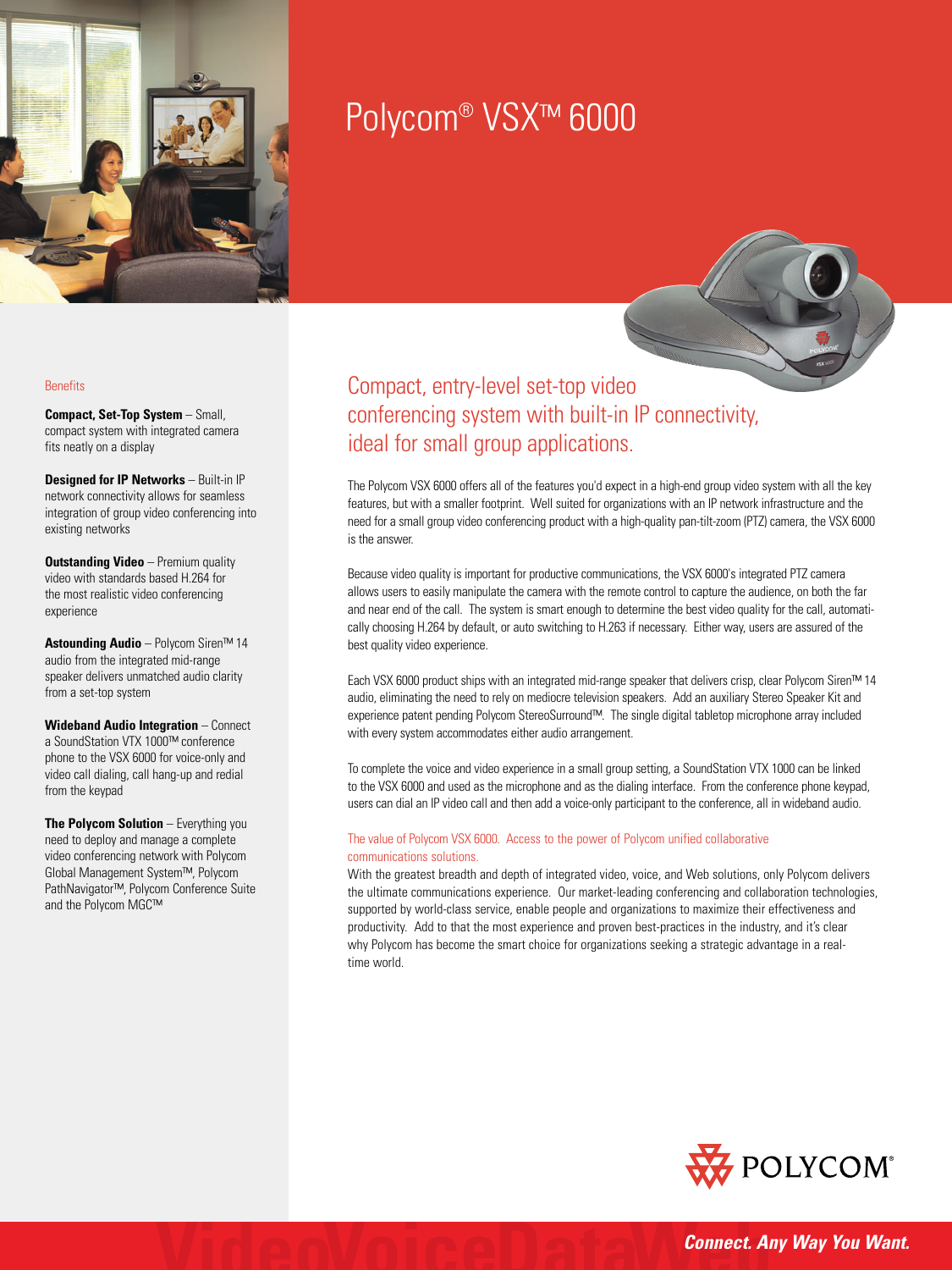

# Polycom® VSX™ 6000

#### **Benefits**

**Compact, Set-Top System** – Small, compact system with integrated camera fits neatly on a display

**Designed for IP Networks** – Built-in IP network connectivity allows for seamless integration of group video conferencing into existing networks

**Outstanding Video** – Premium quality video with standards based H.264 for the most realistic video conferencing experience

**Astounding Audio** – Polycom Siren™ 14 audio from the integrated mid-range speaker delivers unmatched audio clarity from a set-top system

**Wideband Audio Integration** – Connect a SoundStation VTX 1000™ conference phone to the VSX 6000 for voice-only and video call dialing, call hang-up and redial from the keypad

**The Polycom Solution** – Everything you need to deploy and manage a complete video conferencing network with Polycom Global Management System™, Polycom PathNavigator™, Polycom Conference Suite and the Polycom MGC™

Compact, entry-level set-top video conferencing system with built-in IP connectivity, ideal for small group applications.

The Polycom VSX 6000 offers all of the features you'd expect in a high-end group video system with all the key features, but with a smaller footprint. Well suited for organizations with an IP network infrastructure and the need for a small group video conferencing product with a high-quality pan-tilt-zoom (PTZ) camera, the VSX 6000 is the answer.

Because video quality is important for productive communications, the VSX 6000's integrated PTZ camera allows users to easily manipulate the camera with the remote control to capture the audience, on both the far and near end of the call. The system is smart enough to determine the best video quality for the call, automatically choosing H.264 by default, or auto switching to H.263 if necessary. Either way, users are assured of the best quality video experience.

Each VSX 6000 product ships with an integrated mid-range speaker that delivers crisp, clear Polycom Siren™ 14 audio, eliminating the need to rely on mediocre television speakers. Add an auxiliary Stereo Speaker Kit and experience patent pending Polycom StereoSurround™. The single digital tabletop microphone array included with every system accommodates either audio arrangement.

To complete the voice and video experience in a small group setting, a SoundStation VTX 1000 can be linked to the VSX 6000 and used as the microphone and as the dialing interface. From the conference phone keypad, users can dial an IP video call and then add a voice-only participant to the conference, all in wideband audio.

#### The value of Polycom VSX 6000. Access to the power of Polycom unified collaborative communications solutions.

With the greatest breadth and depth of integrated video, voice, and Web solutions, only Polycom delivers the ultimate communications experience. Our market-leading conferencing and collaboration technologies, supported by world-class service, enable people and organizations to maximize their effectiveness and productivity. Add to that the most experience and proven best-practices in the industry, and it's clear why Polycom has become the smart choice for organizations seeking a strategic advantage in a realtime world.